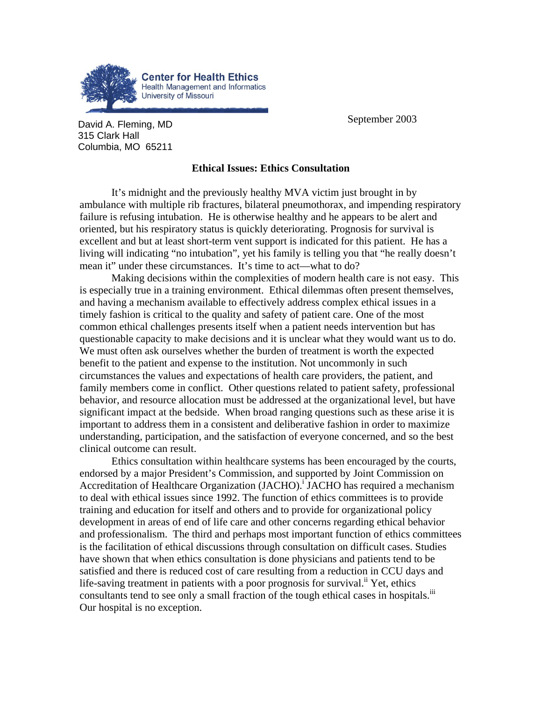

**David A. Fleming, MD September 2003** 315 Clark Hall Columbia, MO 65211

## **Ethical Issues: Ethics Consultation**

It's midnight and the previously healthy MVA victim just brought in by ambulance with multiple rib fractures, bilateral pneumothorax, and impending respiratory failure is refusing intubation. He is otherwise healthy and he appears to be alert and oriented, but his respiratory status is quickly deteriorating. Prognosis for survival is excellent and but at least short-term vent support is indicated for this patient. He has a living will indicating "no intubation", yet his family is telling you that "he really doesn't mean it" under these circumstances. It's time to act—what to do?

Making decisions within the complexities of modern health care is not easy. This is especially true in a training environment. Ethical dilemmas often present themselves, and having a mechanism available to effectively address complex ethical issues in a timely fashion is critical to the quality and safety of patient care. One of the most common ethical challenges presents itself when a patient needs intervention but has questionable capacity to make decisions and it is unclear what they would want us to do. We must often ask ourselves whether the burden of treatment is worth the expected benefit to the patient and expense to the institution. Not uncommonly in such circumstances the values and expectations of health care providers, the patient, and family members come in conflict. Other questions related to patient safety, professional behavior, and resource allocation must be addressed at the organizational level, but have significant impact at the bedside. When broad ranging questions such as these arise it is important to address them in a consistent and deliberative fashion in order to maximize understanding, participation, and the satisfaction of everyone concerned, and so the best clinical outcome can result.

Ethics consultation within healthcare systems has been encouraged by the courts, endorsed by a major President's Commission, and supported by Joint Commission on Accreditationof Healthcare Organization (JACHO).<sup>i</sup> JACHO has required a mechanism to deal with ethical issues since 1992. The function of ethics committees is to provide training and education for itself and others and to provide for organizational policy development in areas of end of life care and other concerns regarding ethical behavior and professionalism. The third and perhaps most important function of ethics committees is the facilitation of ethical discussions through consultation on difficult cases. Studies have shown that when ethics consultation is done physicians and patients tend to be satisfied and there is reduced cost of care resulting from a reduction in CCU days and life-saving treatment in patients with a poor prognosis for survival.<sup>ii</sup> Yet, ethics consultants tend to see only a small fraction of the tough ethical cases in hospitals.<sup>iii</sup> Our hospital is no exception.